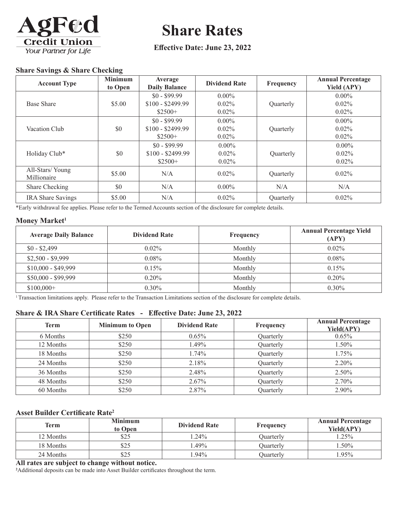

# **Share Rates**

**Effective Date: June 23, 2022**

## **Share Savings & Share Checking**

| <b>Account Type</b>            | <b>Minimum</b><br>to Open | Average<br><b>Daily Balance</b> | <b>Dividend Rate</b> | Frequency | <b>Annual Percentage</b><br>Yield (APY) |
|--------------------------------|---------------------------|---------------------------------|----------------------|-----------|-----------------------------------------|
| <b>Base Share</b>              | \$5.00                    | $$0 - $99.99$                   | $0.00\%$             | Quarterly | $0.00\%$                                |
|                                |                           | $$100 - $2499.99$               | 0.02%                |           | 0.02%                                   |
|                                |                           | $$2500+$                        | $0.02\%$             |           | $0.02\%$                                |
| Vacation Club                  | \$0                       | $$0 - $99.99$                   | $0.00\%$             | Quarterly | $0.00\%$                                |
|                                |                           | $$100 - $2499.99$               | 0.02%                |           | 0.02%                                   |
|                                |                           | $$2500+$                        | $0.02\%$             |           | $0.02\%$                                |
| Holiday Club*                  | \$0                       | $$0 - $99.99$                   | $0.00\%$             | Quarterly | $0.00\%$                                |
|                                |                           | $$100 - $2499.99$               | $0.02\%$             |           | $0.02\%$                                |
|                                |                           | $$2500+$                        | $0.02\%$             |           | $0.02\%$                                |
| All-Stars/Young<br>Millionaire | \$5.00                    | N/A                             | $0.02\%$             | Quarterly | $0.02\%$                                |
| Share Checking                 | \$0                       | N/A                             | $0.00\%$             | N/A       | N/A                                     |
| <b>IRA</b> Share Savings       | \$5.00                    | N/A                             | 0.02%                | Ouarterly | 0.02%                                   |

\*Early withdrawal fee applies. Please refer to the Termed Accounts section of the disclosure for complete details.

## $\mathbf{Money Market}^1$

| <b>Average Daily Balance</b> | <b>Dividend Rate</b> | Frequency | <b>Annual Percentage Yield</b><br>(APY) |
|------------------------------|----------------------|-----------|-----------------------------------------|
| $$0 - $2,499$                | $0.02\%$             | Monthly   | $0.02\%$                                |
| $$2,500 - $9,999$            | $0.08\%$             | Monthly   | $0.08\%$                                |
| $$10,000 - $49,999$          | $0.15\%$             | Monthly   | $0.15\%$                                |
| $$50,000 - $99,999$          | $0.20\%$             | Monthly   | $0.20\%$                                |
| $$100,000+$                  | $0.30\%$             | Monthly   | $0.30\%$                                |

<sup>1</sup> Transaction limitations apply. Please refer to the Transaction Limitations section of the disclosure for complete details.

## **Share & IRA Share Certificate Rates - Effective Date: June 23, 2022**

| <b>Term</b> | <b>Minimum to Open</b> | <b>Dividend Rate</b> | Frequency | <b>Annual Percentage</b><br>Yield(APY) |
|-------------|------------------------|----------------------|-----------|----------------------------------------|
| 6 Months    | \$250                  | $0.65\%$             | Quarterly | $0.65\%$                               |
| 12 Months   | \$250                  | $1.49\%$             | Quarterly | 1.50%                                  |
| 18 Months   | \$250                  | $1.74\%$             | Quarterly | 1.75%                                  |
| 24 Months   | \$250                  | 2.18%                | Quarterly | 2.20%                                  |
| 36 Months   | \$250                  | 2.48%                | Quarterly | $2.50\%$                               |
| 48 Months   | \$250                  | 2.67%                | Quarterly | 2.70%                                  |
| 60 Months   | \$250                  | 2.87%                | Quarterly | 2.90%                                  |

## **Asset Builder Certificate Rate2**

| Term      | <b>Minimum</b><br>to Open | <b>Dividend Rate</b> | Frequency | <b>Annual Percentage</b><br>Yield(APY) |
|-----------|---------------------------|----------------------|-----------|----------------------------------------|
| 12 Months | \$25                      | $24\%$               | Ouarterlv | 1.25%                                  |
| 18 Months | \$25                      | .49%                 | Ouarterlv | $.50\%$                                |
| 24 Months | \$25                      | $.94\%$              | Ouarterly | $.95\%$                                |

**All rates are subject to change without notice.** 

**2** Additional deposits can be made into Asset Builder certificates throughout the term.